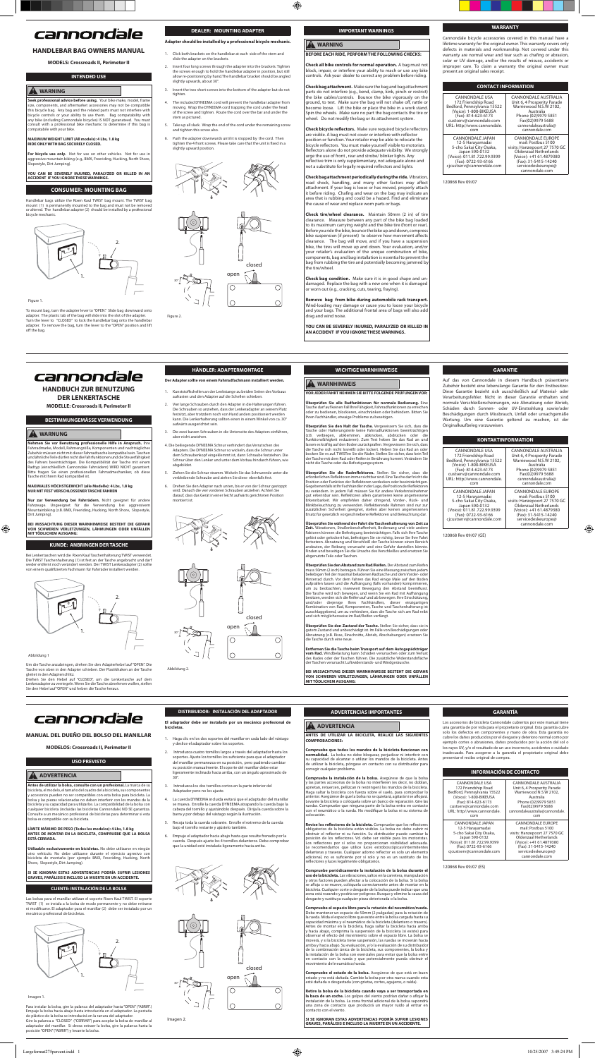## cannondale

#### **HANDLEBAR BAG OWNERS MANUAL**

#### **MODELS: Crossroads II, Perimeter II**

#### **INTENDED USE**

#### **WARNING**

**Seek professional advice before using.** Your bike make, model, frame size, components, and aftermarket accessories may not be compatible this bicycle bag. Any bag and the related parts must not interfere with bicycle controls or your ability to use them. Bag compatability with any bike (including Cannondale bicycles) IS NOT guranateed. You must consult with a professional bike mechanic to determine if this bag is compatabile with your bike.

#### **MAXIMUM WEIGHT LIMIT (All models): 4 Lbs, 1.8 kg RIDE ONLY WITH BAG SECURELY CLOSED.**

**For bicycle use only.** Not for use on other vehicles. Not for use in<br>aggressive mountain biking (e.g., BMX, Freeriding, Hucking, North Shore,<br>Slopestyle, Dirt Jumping).

To mount bag, turn the adapter lever to "OPEN." Slide bag downward onto adapter. The plastic tab of the bag will slide into the slot of the adapter. Turn the lever to "CLOSED" to lock the handlebar bag onto the handlebar adapter. To remove the bag, turn the lever to the "OPEN" position and lift off the bag.

1. Click both brackets on the handlebar at each side of the stem and slide the adapter on the brackets

**YOU CAN BE SEVERELY INJURED, PARALYZED OR KILLED IN AN ACCIDENT IF YOU IGNORE THESE WARNINGS.** 

#### **CONSUMER: MOUNTING BAG**

Handlebar bags utilize the Rixen Kaul TWIST bag mount. The TWIST bag mount (1) is permanently mounted to the bag and must not be removed or altered. The handlebar adapter (2) should be installed by a professional bicycle mechanic.



#### Figure 1.

- 2. Insert four long screws through the adapter into the brackets. Tighter the screws enough to hold the handlebar adapter in position, but still allow re-positioning by hand.The handlebar bracket should be angled slightly upwards, about 30°.
- 3. Insert the two short screws into the bottom of the adapter but do not tighten.
- 4. The included DYNEEMA cord will prevent the handlebar adapter from moving. Wrap the DYNEEMA cord trapping the cord under the head of the screw and tighten. Route the cord over the bar and under the stem as pictured.
- 5. Take up all slack. Wrap the end of the cord under the remaining screw and tighten this screw also.
- 6. Push the adapter downwards until it is stopped by the cord. Then tighten the 4 front screws. Please take care that the unit is xed in a slightly upward position.



#### **DEALER: MOUNTING ADAPTER**

**Adapter should be installed by a professional bicycle mechanic.** 

**Check tire/wheel clearance.** Maintain 50mm (2 in) of tire clearance. Measure between any part of the bike bag loaded to its maximum carrying weight and the bike tire (front or rear). Before you ride the bike, bounce the bike up and down, compress bike suspension (if present) to observe how movement affects<br>clearance. The bag will move, and if you have a suspension The bag will move, and if you have a suspension bike, the tires will move up and down. Your evaluation, and/or your retailer's evaluation of the unique combination of bike, components, bag and bag installation is essential to prevent the bag from rubbing the tire and potentially becoming jammed by tire/wheel.





Figure 2

### **IMPORTANT WARNINGS WARNING**

⊕

**BEFORE EACH RIDE, PERFORM THE FOLLOWING CHECKS: Check all bike controls for normal operation.** A bag must not block, impair, or interfere your ability to reach or use any bike controls. Ask your dealer to correct any problem before riding.

**Check bag attachment.** Make sure the bag and bag attachment parts do not interfere (e.g., bend, clamp, kink, pinch or restrict) the bike cables/controls. Bounce the bike vigorously on the ground, to test. Make sure the bag will not shake off, rattle or become loose. Lift the bike or place the bike in a work stand. Spin the wheels. Make sure no part the bag contacts the tire or wheel. Do not modify the bag or its attachment system.

**Check bicycle reflectors.** Make sure required bicycle reflector are visible. A bag must not cover or interfere with reflector position or function. Your retailer may be able to relocate the<br>bicycle reflectors. You must make yourself visible to motorists. Reflectors alone do not provide adequate visibility. We strongly urge the use of front , rear and strobe/ blinker lights. Any<br>reflective trim is only supplementary, not adequate alone and not a substitute for legally required reflectors and lights.

**Nehmen Sie vor Benutzung professionelle Hilfe in Anspruch.** Ihre Fahrradmarke, Modell, Rahmengröße, Komponenten und nachträgliches Zubehör müssen nicht mit dieser Fahrradtasche kompatibel sein. Taschen und ähnliche Teile dürfen nicht die Fahrfunktionen und die Steuerfähigkeit des Fahrers beeinträchtigen. Die Kompatibilität der Tasche mit einem<br>Radtyp (einschließlich Cannondale Fahrrädern) WIRD NICHT garantiert.<br>Bitte fragen Sie einen professionellen Fahrradmechaniker, ob diese<br>Tasche mit Ihrem **Check bag attachment periodically during the ride.** Vibration, road shock, handling, and many other factors may affect<br>attachment. If your bag is loose or has moved, properly attach it before riding. Chafing and wear on the bag may indicate an<br>area that is rubbing and could be a hazard. Find and eliminate the cause of wear and replace worn parts or bags.

Tasche von oben in den Adapter schieben. Der Plastikhaken an der Tasche<br>gleitet in den Adapterschlitz.<br>Drehen Sie den Hebel auf "CLOSED", um die Lenkertasche auf dem Lenkeradapter zu verriegeln. Wenn Sie die Tasche abnehmen wollen, stellen Sie den Hebel auf "OPEN" und heben die Tasche heraus. **Check bag condition.** Make sure it is in good shape and undamaged. Replace the bag with a new one when it is damaged or worn out (e.g., cracking, cuts, tearing, fraying).

**Remove bag from bike during automobile rack transport.** Wind-loading may damage or cause you to loose your bicycle and your bags. The additional frontal area of bags will also add drag and wind noise.

**YOU CAN BE SEVERELY INJURED, PARALYZED OR KILLED IN AN ACCIDENT IF YOU IGNORE THESE WARNINGS.** 

## **WARRANTY**

Cannondale bicycle accessories covered in this manual have a lifetime warranty for the original owner. This warranty covers only defects in materials and workmanship. Not covered under this warranty are normal wear and tear such as chafing or abrasion, solar or UV damage, and/or the results of misuse, accidents or improper care. To claim a warranty the original owner must present an original sales receipt.

| <b>CONTACT INFORMATION</b>                                                                                                                                                                   |                                                                                                                                                                                                     |  |
|----------------------------------------------------------------------------------------------------------------------------------------------------------------------------------------------|-----------------------------------------------------------------------------------------------------------------------------------------------------------------------------------------------------|--|
| <b>CANNONDALE USA</b><br>172 Friendship Road<br>Bedford, Pennsylvania 15522<br>(Voice): 1-800-BIKEUSA<br>(Fax): 814-623-6173<br>custserv@cannondale.com<br>URL: http//www.cannondale.<br>com | CANNONDALE AUSTRALIA<br>Unit 6, 4 Prosperity Parade<br>Warriewood N.S.W 2102.<br>Australia<br>Phone (02)9979 5851<br>Fax(02)9979 5688<br>cannondaleaustralia@<br>cannondale.com                     |  |
| CANNONDALE JAPAN<br>12-5 Harayamadai<br>5-cho Sakai City Osaka,<br>Japan 590-0132<br>(Voice): 011.81.722.99.9399<br>(Fax): 0722-93-6166<br>cicustserv@cannondale.com                         | <b>CANNONDALE EUROPE</b><br>mail: Postbus 5100<br>visits: Hanzepoort 27 7570 GC<br>Oldenzaal Netherlands<br>(Voice): +41 61.4879380<br>(Fax): 31-5415-14240<br>servicedeskeurope@<br>cannondale.com |  |

**Überprüfen Sie den Abstand zum Rad/Reifen.** Der Abstand zum Reifen<br>muss 50mm (2 inch) betragen. Führen Sie eine Messung zwischen jedem<br>beliebigen Teil der maximal beladenen Radtasche und dem Vorder- oder<br>Hinterrad durch. besitzen, werden sich die Reifen auf und ab bewegen. Ihre Einschätzung, und/oder diejenige Ihres Fachhändlers, dieser einzigartigen Kombination von Rad, Komponenten, Tasche und Taschenhalterung ist ausschlaggebend, um zu verhindern, dass die Tasche sich am Rad reibt und sich möglicherweise im Rad/Reifen verfängt.

**Überprüfen Sie den Zustand der Tasche.** Stellen Sie sicher, dass sie in<br>gutem Zustand und unbeschädigt ist. Im Falle von Beschädigungen oder<br>Abnutzung (z.B. Risse, Einschnitte, Abrieb, Abschabungen) ersetzen Sie<br>die Tasch

120868 Rev 09/07

## cannondale

#### **HANDBUCH ZUR BENUTZUNG DER LENKERTASCHE**

**MODELLE: Crossroads II, Perimeter II**

#### **BESTIMMUNGEMÄSSE VERWENDUNG**

#### **WARNUNG**

BEI MISSACHTUNG DIESER WARNHINWEISE BESTEHT DIE GEFAH **VON SCHWEREN VERLETZUNGEN, LÄHMUNGEN ODER UNFÄLLEN MIT TÖDLICHEM AUSGANG:** 

## cannondale

#### **MAXIMALES HÖCHSTGEWICHT (alle Modelle): 4 Lbs, 1.8 kg NUR MIT FEST VERSCHLOSSENER TASCHE FAHREN**

**Nur zur Verwendung bei Fahrrädern.** Nicht geeignet für andere<br>Fahrzeuge. Ungeeignet für die Verwendung bei aggressivem<br>Mountainbiking (z.B. BMX, Freeriding, Hucking, North Shore, Slopestyle,<br>Dirt Jumping).

**BEI MISSACHTUNG DIESER WARNHINWEISE BESTEHT DIE GEFAHR VON SCHWEREN VERLETZUNGEN, LÄHMUNGEN ODER UNFÄLLEN MIT TÖDLICHEM AUSGANG:**

#### **KUNDE: ANBRINGEN DER TASCHE**

Bei Lenkertaschen wird die Rixen Kaul Taschenhalterung TWIST verwendet. Die TWIST Taschenhalterung (1) ist fest an der Tasche angebracht und darf weder entfernt noch verändert werden. Der TWIST Lenkeradapter (2) sollte von einem qualifizierten Fachmann für Fahrräder installiert werden.



Abbildung 1

 $\bigoplus$ 

Um die Tasche anzubringen, drehen Sie den Adapterhebel auf "OPEN". Die

#### **HÄNDLER: ADAPTERMONTAGE**

#### **Der Adapter sollte von einem Fahrradfac**

- nststoffschellen an der Lenkstange zu beiden Seiten des Vorbaus aufrasten und den Adapter auf die Schellen schieben.
- 2. Vier lange Schrauben durch den Adapter in die Halterungen führen. Die Schrauben so anziehen, dass der Lenkeradapter an seinem Platz festsitzt, aber trotzdem noch von Hand anders positioniert werden kann. Die Lenkerhalterung sollten einen in einem Winkel von ca. 30° aufwärts ausgerichtet sein.
- 3. Die zwei kurzen Schrauben in die Unterseite des Adapters einführen, aber nicht anziehen.
- 4. Die beiliegende DYNEEMA Schnur verhindert das Verrutschen des Adapters. Die DYNEEMA Schnur so wickeln, dass die Schnur unter dem Schraubenkopf eingeklemmt ist, dann Schraube festziehen. Die Schnur über den Lenker und unter dem Vorbau hindurch führen, wie abgebildet.
- 5. Ziehen Sie die Schnur stramm. Wickeln Sie das Schnurende unter die verbleibende Schraube und ziehen Sie diese ebenfalls fest.
- 6. Drehen Sie den Adapter nach unten, bis er von der Schnur gestoppt wird. Danach die vier vorderen Schrauben anziehen. Achten Sie darauf, dass das Gerät in einer leicht aufwärts gerichteten Position ert ist



**Compruebe la instalación de la bolsa.** Asegúrese de que la bolsa<br>y las partes accesorias de la bolsa no interfieren (es decir, no doblan,<br>aprietan, retuercen, pellizcan ni restringen) los mandos de la bicicleta.<br>Haga salt Levante la bicicleta o colóquela sobre un banco de reparación. Gire las ruedas. Compruebe que ninguna parte de la bolsa entra en contacto con el neumático o la rueda. No modifique la bolsa ni su sistema de colocación.

**Revise los reflectores de la bicicleta.** Compruebe que los reflectores obligatorios de la bicicleta están visibles. La bolsa no debe cubrir ni estarto in su distruidor puede cambiar la posición de los reflectores. Vd. debe ser visible para los motoristas. Los reflectores por sí solos no popor



**30°**

Abbildung

**WICHTIGE WARNHINWEISE**

**VOR JEDER FAHRT NEHMEN SIE BITTE FOLGENDE PRÜFUNGEN VOR:**

**WARNHINWEIS** 

**Überprüfen Sie alle Radfunktionen für normale Bedienung.** Eine Tasche darf auf keinen Fall Ihre Fähigkeit, Fahrradfunktionen zu erreichen oder zu bedienen, blockieren, einschränken oder behindern. Bitten Sie Ihren Fachhändler, etwaige Probleme zu beseitigen.

Überprüfen Sie den Halt der Tasche. Vergewissern Sie sich, dass die Tasche oder Halterungsteile keine Fahradfunktionen beeinträchtigen (z.B. verbiegen, abklemmen, abknicken, abdrücken oder die Funktionsfähigkeit reduzieren

Überprüfen Sie die Radreflektoren. Stellen Sie sicher, dass die erforderlichen Reflektoren immer sichtbar sind. Eine Tasche darf nicht die Position oder Funktion der Reflektoren verdecken oder beeinträchtigen. Gegebenenfallsist lhr Fachhändler inder Lage, die Position der Reflektoren<br>zu verändern. In jedem Fall müssen Sie für andere Verkehrsteilnehmer<br>gut erkennbar sein. Reflektoren allein garantieren keine angemessene<br>Erkennbar

**Überprüfen Sie während der Fahrt die Taschenhalterung von Zeit zu Zeit.** Vibrationen, Straßenbeschaff enheit, Bedienung und viele andere Faktoren können die Befestigung beeinträchtigen. Falls sich Ihre Tasche gelöst oder gelockert hat, befestigen Sie sie richtig, bevor Sie Ihre Fahrt fortsetzen. Abnutzung und Verschleiß der Tasche können einen Bereich andeuten, der Reibung verursacht und eine Gefahr darstellen könnte. Finden und beseitigen Sie die Ursache des Verschleißes und ersetzen Sie





**Entfernen Sie die Tasche beim Transport auf dem Autogepäckträger vom Rad.** Windbelastung kann Schäden verursachen oder zum Verlust des Rades oder der Taschen führen. Die zusätzliche Widerstandsfläche der Taschen verursacht Luftwiderstands- und Windgeräusche.

#### **GARANTIE**

Auf das von Cannondale in diesem Handbuch präsentierte Zubehör besteht eine lebenslange Garantie für den Erstbesitzer. Diese Garantie bezieht sich ausschließlich auf Material- oder Verarbeitungsfehler. Nicht in dieser Garantie enthalten sind normale Verschleißerscheinungen, wie Abnutzung oder Abrieb, Schäden durch Sonnen- oder UV-Einstrahlung sowie/oder Beschädigungen durch Missbrauch, Unfall oder unsachgemäße Wartung. Um eine Garantie geltend zu machen, ist der Originalkaufbeleg vorzuweisen.

Bedford, Pennsylvania 15522 (Voice): 1-800-BIKEUSA

⊕

| <b>KONTAKTINFORMATION</b>                                                                                                                                                                    |                                                                                                                                                                                                     |  |
|----------------------------------------------------------------------------------------------------------------------------------------------------------------------------------------------|-----------------------------------------------------------------------------------------------------------------------------------------------------------------------------------------------------|--|
| <b>CANNONDALE USA</b><br>172 Friendship Road<br>Bedford, Pennsylvania 15522<br>(Voice): 1-800-BIKEUSA<br>(Fax): 814-623-6173<br>custserv@cannondale.com<br>URL: http//www.cannondale.<br>com | CANNONDALE AUSTRALIA<br>Unit 6, 4 Prosperity Parade<br>Warriewood N.S.W 2102,<br>Australia<br>Phone (02)9979 5851<br>Fax(02)9979 5688<br>cannondaleaustralia@<br>cannondale.com                     |  |
| CANNONDALE JAPAN<br>12-5 Harayamadai<br>5-cho Sakai City Osaka,<br>Japan 590-0132<br>(Voice): 011.81.722.99.9399<br>(Fax): 0722-93-6166<br>cicustserv@cannondale.com                         | <b>CANNONDALE EUROPE</b><br>mail: Postbus 5100<br>visits: Hanzepoort 27 7570 GC<br>Oldenzaal Netherlands<br>(Voice): +41 61.4879380<br>(Fax): 31-5415-14240<br>servicedeskeurope@<br>cannondale.com |  |

120868 Rev 09/07 (GE)

#### **MANUAL DEL DUEÑO DEL BOLSO DEL MANILLAR**

**MODELOS: Crossroads II, Perimeter II**

#### **USO PREVISTO**

#### **A** ADVERTENCIA

**Antes de utilizar la bolsa, consulte con un profesional.** La marca de su bicicleta, el modelo, el tamaño del cuadro de la bicicleta, sus componente y accesorios pueden no ser compatibles con esta bolsa para bicicleta. La bolsa y las piezas relacionadas no deben interferir con los mandos de la bicicleta y su capacidad para utilizarlos. La compatibilidad de la bolsa con<br>cualquier bicicleta (incluidas las bicicletas Cannondale) NO SE garantiza.<br>Consulte a un mecánico profesional de bicicletas para determinar si es bolsa es compatible con su bicicleta.

#### **LÍMITE MÁXIMO DE PESO (Todos los modelos): 4 Lbs, 1.8 kg ANTES DE MONTAR EN LA BICICLETA, COMPRUEBE QUE LA BOLSA ESTÁ CERRADA.**

**Utilizable exclusivamente en bicicletas.** No debe utilizarse en ningún otro vehículo. No debe utilizarse durante el ejercicio agresivo con bicicleta de montaña (por ejemplo BMX, Freeriding, Hucking, North Shore, Slopestyle, Dirt Jumping).

**SI SE IGNORAN ESTAS ADVERTENCIAS PODRÍA SUFRIR LESIONES GRAVES, PARÁLISIS E INCLUSO LA MUERTE EN UN ACCIDENTE.**

#### **CLIENTE: INSTALACIÓN DE LA BOLSA**

Las bolsas para el manillar utilizan el soporte Rixen Kaul TWIST. El soporte TWIST (1) se instala a la bolsa de modo permanente y no debe retirarse ni modificarse. El adaptador para el manillar (2) debe ser instalado por un mecánico profesional de bicicletas.



Imagen 1.

Para instalar la bolsa, gire la palanca del adaptador hasta "OPEN" ("ABRIR".) Empuje la bolsa hacia abajo hasta introducirla en el adaptador. La pestaña de plástico de la bolsa se introducirá en la ranura del adaptador. Gire la palanca a "CLOSED" ("CERRAR") para acoplar la bolsa de manillar al adaptador del manillar. Si desea extraer la bolsa, gire la palanca hasta la posición "OPEN" ("ABRIR") y levante la bolsa.

#### **DISTRIBUIDOR: INSTALACIÓN DEL ADAPTADOR**

**El adaptador debe ser instalado por un mecánico profesional de bicicletas.** 

- 1. Haga clic en los dos soportes del manillar en cada lado del vástago y deslice el adaptador sobre los soportes.
- 2. Introduzca cuatro tornillos largos a través del adaptador hasta los soportes. Ajuste los tornillos los suficiente para que el adaptador del manillar permanezca en su posición, pero pudiendo cambiar su posición manualmente. El soporte del manillar debe estar ligeramente inclinado hacia arriba, con un ángulo aproximado de 30°.
- 3. Introduzca los dos tornillos cortos en la parte inferior del Adaptador pero no los ajuste.
- 4. La cuerda DYNEEMA incluida evitará que el adaptador del manillar se mueva. Enrolle la cuerda DYNEEMA atrapando la cuerda bajo la cabeza del tornillo y ajustándolo después. Dirija la cuerda sobre la barra y por debajo del vástago según la ilustración.
- 5. Recoja toda la cuerda sobrante. Enrolle el extremo de la cuerda bajo el tornillo restante y ajústelo también.
- 6. Empuje el adaptador hacia abajo hasta que resulte frenado por la rda. Después ajuste los 4 tornillos delanteros. Debe comprobar que la unidad esté instalada ligeramente hacia arriba.





**30°**

Imagen 2.

#### **ADVERTENCIAS IMPORTANTES**

#### **A** ADVERTENCIA

#### **ANTES DE UTILIZAR LA BICICLETA, REALICE LAS SIGUIENTES COMPROBACIONES:**

**Compruebe que todos los mandos de la bicicleta funcionan con normalidad.** La bolsa no debe bloquear, perjudicar ni interferir con su capacidad de alcanzar o utilizar los mandos de la bicicleta. Antes de utilizar la bicicleta, póngase en contacto con su distribuidor para corregir cualquier problema.

**Compruebe periódicamente la instalación de la bolsa durante el uso de la bicicleta.** Las vibraciones, saltos en la carretera, manipulación y otros factores pueden afectar a la colocación de la bolsa. Si la bolsa<br>se afloia o se mueve, cológuela correctamente antes de montar en la eve, colóquela correctamente antes de montar en la bicicleta. Cualquier corte o desgaste de la bolsa puede indicar que un zona está rozando y podría ser peligroso. Busque y elimine la causa del desgaste y sustituya cualquier pieza deteriorada o la bolsa.

#### Compruebe el espacio libre para la rotación del neumático/ru

Debe mantener un espacio de 50mm (2 pulgadas) para la rotación de la rueda. Mida el espacio libre que existe entre la bolsa cargada hasta su capacidad máxima y el neumático de la bicicleta (delantero o trasero). Antes de montar en la bicicleta, haga saltar la bicicleta hacia arriba y hacia abajo, comprima la suspensión de la bicicleta (si existe) para observar el efecto del movimiento sobre el espacio libre. La bolsa se moverá, y si la bicicleta tiene suspensión, las ruedas se moverán hacia<br>arriba y hacia abajo. Su evaluación, y/o la evaluación de su distribuidor<br>de la combinación única de la bicicleta, sus componentes, la bolsa y la instalación de la bolsa son esenciales para evitar que la bolsa entre en contacto con la rueda y que potencialmente pueda obstruir el movimiento del neumático/rueda.

**Compruebe el estado de la bolsa.** Asegúrese de que está en buen<br>estado y no está dañada. Cambie la bolsa por otra nueva cuando esta<br>esté dañada o desgastada (con grietas, cortes, agujeros, o raída).

**Retire la bolsa de la bicicleta cuando vaya a ser transportada en la baca de un coche.** Los golpes del viento podrían dañar o aflojar la instalación de la bolsa. La zona frontal adicional de la bolsa supondrá una zona de contacto que producirá un mayor ruido al entrar en contacto con el viento.

**SI SE IGNORAN ESTAS ADVERTENCIAS PODRÍA SUFRIR LESIONES GRAVES, PARÁLISIS E INCLUSO LA MUERTE EN UN ACCIDENTE.**

#### **GARANTÍA**

Los accesorios de bicicleta Cannondale cubiertos por este manual tiene una garantía de por vida para el propietario original. Esta garantía cubre solo los defectos en componentes y mano de obra. Esta garantía no cubre los daños producidos por el desgaste y deterioro normal como por ejemplo cortes o abrasiones, daños producidos por la acción del sol o los rayos UV, y/o el resultado de un uso incorrecto, accidentes o cuidado inadecuado. Para acogerse a la garantía el propietario original debe presentar el recibo original de compra.

#### **INFORMACIÓN DE CONTACTO**

| <b>CANNONDALE USA</b>                                                                                                                                                | CANNONDALE AUSTRALIA                                                                                                                                                                                |
|----------------------------------------------------------------------------------------------------------------------------------------------------------------------|-----------------------------------------------------------------------------------------------------------------------------------------------------------------------------------------------------|
| 172 Friendship Road                                                                                                                                                  | Unit 6, 4 Prosperity Parade                                                                                                                                                                         |
| Bedford, Pennsylvania 15522                                                                                                                                          | Warriewood N.S.W 2102.                                                                                                                                                                              |
| (Voice): 1-800-BIKEUSA                                                                                                                                               | Australia                                                                                                                                                                                           |
| (Fax): 814-623-6173                                                                                                                                                  | Phone (02)9979 5851                                                                                                                                                                                 |
| custserv@cannondale.com                                                                                                                                              | Fax(02)9979 5688                                                                                                                                                                                    |
| URL: http//www.cannondale.                                                                                                                                           | cannondaleaustralia@cannondale.                                                                                                                                                                     |
| com                                                                                                                                                                  | com                                                                                                                                                                                                 |
| CANNONDALE JAPAN<br>12-5 Harayamadai<br>5-cho Sakai City Osaka,<br>Japan 590-0132<br>(Voice): 011.81.722.99.9399<br>(Fax): 0722-93-6166<br>cicustserv@cannondale.com | <b>CANNONDALE EUROPE</b><br>mail: Postbus 5100<br>visits: Hanzepoort 27 7570 GC<br>Oldenzaal Netherlands<br>(Voice): +41 61.4879380<br>(Fax): 31-5415-14240<br>servicedeskeurope@<br>cannondale.com |

120868 Rev 09/07 (ES)